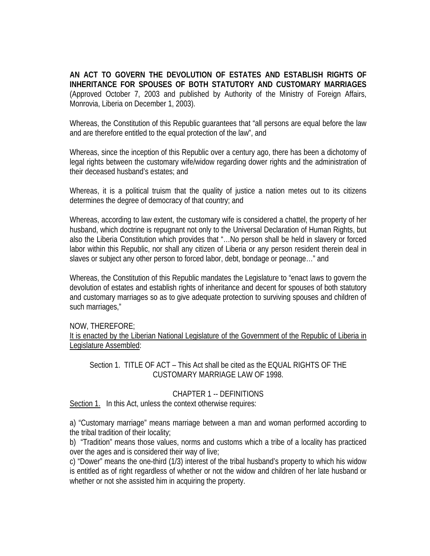**AN ACT TO GOVERN THE DEVOLUTION OF ESTATES AND ESTABLISH RIGHTS OF INHERITANCE FOR SPOUSES OF BOTH STATUTORY AND CUSTOMARY MARRIAGES**  (Approved October 7, 2003 and published by Authority of the Ministry of Foreign Affairs, Monrovia, Liberia on December 1, 2003).

Whereas, the Constitution of this Republic guarantees that "all persons are equal before the law and are therefore entitled to the equal protection of the law", and

Whereas, since the inception of this Republic over a century ago, there has been a dichotomy of legal rights between the customary wife/widow regarding dower rights and the administration of their deceased husband's estates; and

Whereas, it is a political truism that the quality of justice a nation metes out to its citizens determines the degree of democracy of that country; and

Whereas, according to law extent, the customary wife is considered a chattel, the property of her husband, which doctrine is repugnant not only to the Universal Declaration of Human Rights, but also the Liberia Constitution which provides that "…No person shall be held in slavery or forced labor within this Republic, nor shall any citizen of Liberia or any person resident therein deal in slaves or subject any other person to forced labor, debt, bondage or peonage…" and

Whereas, the Constitution of this Republic mandates the Legislature to "enact laws to govern the devolution of estates and establish rights of inheritance and decent for spouses of both statutory and customary marriages so as to give adequate protection to surviving spouses and children of such marriages,"

#### NOW, THEREFORE;

It is enacted by the Liberian National Legislature of the Government of the Republic of Liberia in Legislature Assembled:

# Section 1. TITLE OF ACT – This Act shall be cited as the EQUAL RIGHTS OF THE CUSTOMARY MARRIAGE LAW OF 1998.

# CHAPTER 1 -- DEFINITIONS

Section 1. In this Act, unless the context otherwise requires:

a) "Customary marriage" means marriage between a man and woman performed according to the tribal tradition of their locality;

b) "Tradition" means those values, norms and customs which a tribe of a locality has practiced over the ages and is considered their way of live;

c) "Dower" means the one-third (1/3) interest of the tribal husband's property to which his widow is entitled as of right regardless of whether or not the widow and children of her late husband or whether or not she assisted him in acquiring the property.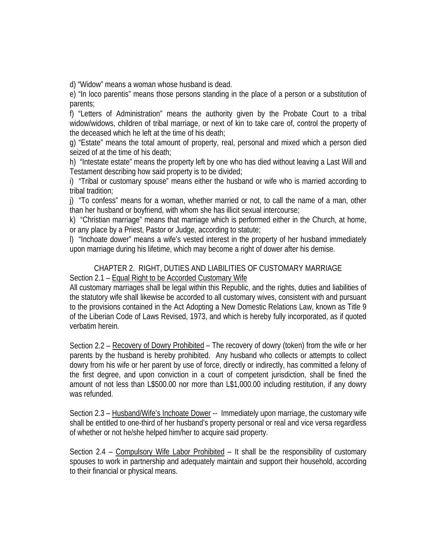d) "Widow" means a woman whose husband is dead.

e) "In loco parentis" means those persons standing in the place of a person or a substitution of parents;

f) "Letters of Administration" means the authority given by the Probate Court to a tribal widow/widows, children of tribal marriage, or next of kin to take care of, control the property of the deceased which he left at the time of his death;

g) "Estate" means the total amount of property, real, personal and mixed which a person died seized of at the time of his death;

h) "Intestate estate" means the property left by one who has died without leaving a Last Will and Testament describing how said property is to be divided;

i) "Tribal or customary spouse" means either the husband or wife who is married according to tribal tradition;

j) "To confess" means for a woman, whether married or not, to call the name of a man, other than her husband or boyfriend, with whom she has illicit sexual intercourse;

k) "Christian marriage" means that marriage which is performed either in the Church, at home, or any place by a Priest, Pastor or Judge, according to statute;

l) "Inchoate dower" means a wife's vested interest in the property of her husband immediately upon marriage during his lifetime, which may become a right of dower after his demise.

### CHAPTER 2. RIGHT, DUTIES AND LIABILITIES OF CUSTOMARY MARRIAGE Section 2.1 - Equal Right to be Accorded Customary Wife

All customary marriages shall be legal within this Republic, and the rights, duties and liabilities of the statutory wife shall likewise be accorded to all customary wives, consistent with and pursuant to the provisions contained in the Act Adopting a New Domestic Relations Law, known as Title 9 of the Liberian Code of Laws Revised, 1973, and which is hereby fully incorporated, as if quoted verbatim herein.

Section 2.2 – Recovery of Dowry Prohibited – The recovery of dowry (token) from the wife or her parents by the husband is hereby prohibited. Any husband who collects or attempts to collect dowry from his wife or her parent by use of force, directly or indirectly, has committed a felony of the first degree, and upon conviction in a court of competent jurisdiction, shall be fined the amount of not less than L\$500.00 nor more than L\$1,000.00 including restitution, if any dowry was refunded.

Section 2.3 – Husband/Wife's Inchoate Dower -- Immediately upon marriage, the customary wife shall be entitled to one-third of her husband's property personal or real and vice versa regardless of whether or not he/she helped him/her to acquire said property.

Section 2.4 – Compulsory Wife Labor Prohibited – It shall be the responsibility of customary spouses to work in partnership and adequately maintain and support their household, according to their financial or physical means.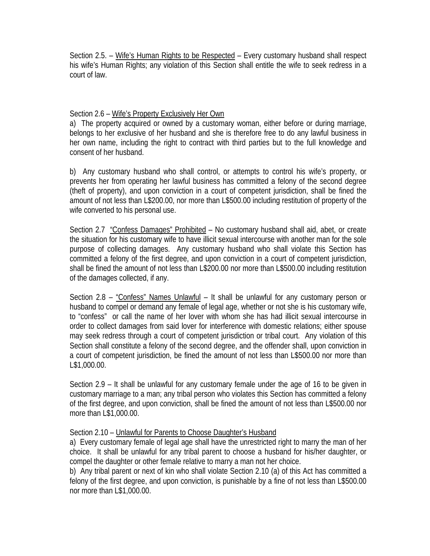Section 2.5. – Wife's Human Rights to be Respected – Every customary husband shall respect his wife's Human Rights; any violation of this Section shall entitle the wife to seek redress in a court of law.

# Section 2.6 – Wife's Property Exclusively Her Own

a) The property acquired or owned by a customary woman, either before or during marriage, belongs to her exclusive of her husband and she is therefore free to do any lawful business in her own name, including the right to contract with third parties but to the full knowledge and consent of her husband.

b) Any customary husband who shall control, or attempts to control his wife's property, or prevents her from operating her lawful business has committed a felony of the second degree (theft of property), and upon conviction in a court of competent jurisdiction, shall be fined the amount of not less than L\$200.00, nor more than L\$500.00 including restitution of property of the wife converted to his personal use.

Section 2.7 "Confess Damages" Prohibited – No customary husband shall aid, abet, or create the situation for his customary wife to have illicit sexual intercourse with another man for the sole purpose of collecting damages. Any customary husband who shall violate this Section has committed a felony of the first degree, and upon conviction in a court of competent jurisdiction, shall be fined the amount of not less than L\$200.00 nor more than L\$500.00 including restitution of the damages collected, if any.

Section 2.8 – "Confess" Names Unlawful – It shall be unlawful for any customary person or husband to compel or demand any female of legal age, whether or not she is his customary wife, to "confess" or call the name of her lover with whom she has had illicit sexual intercourse in order to collect damages from said lover for interference with domestic relations; either spouse may seek redress through a court of competent jurisdiction or tribal court. Any violation of this Section shall constitute a felony of the second degree, and the offender shall, upon conviction in a court of competent jurisdiction, be fined the amount of not less than L\$500.00 nor more than L\$1,000.00.

Section 2.9 – It shall be unlawful for any customary female under the age of 16 to be given in customary marriage to a man; any tribal person who violates this Section has committed a felony of the first degree, and upon conviction, shall be fined the amount of not less than L\$500.00 nor more than L\$1,000.00.

# Section 2.10 – Unlawful for Parents to Choose Daughter's Husband

a) Every customary female of legal age shall have the unrestricted right to marry the man of her choice. It shall be unlawful for any tribal parent to choose a husband for his/her daughter, or compel the daughter or other female relative to marry a man not her choice.

b) Any tribal parent or next of kin who shall violate Section 2.10 (a) of this Act has committed a felony of the first degree, and upon conviction, is punishable by a fine of not less than L\$500.00 nor more than L\$1,000.00.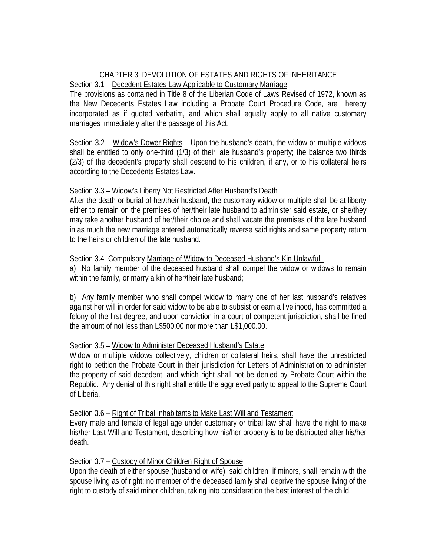### CHAPTER 3 DEVOLUTION OF ESTATES AND RIGHTS OF INHERITANCE Section 3.1 – Decedent Estates Law Applicable to Customary Marriage

The provisions as contained in Title 8 of the Liberian Code of Laws Revised of 1972, known as the New Decedents Estates Law including a Probate Court Procedure Code, are hereby incorporated as if quoted verbatim, and which shall equally apply to all native customary marriages immediately after the passage of this Act.

Section 3.2 – Widow's Dower Rights – Upon the husband's death, the widow or multiple widows shall be entitled to only one-third (1/3) of their late husband's property; the balance two thirds (2/3) of the decedent's property shall descend to his children, if any, or to his collateral heirs according to the Decedents Estates Law.

### Section 3.3 – Widow's Liberty Not Restricted After Husband's Death

After the death or burial of her/their husband, the customary widow or multiple shall be at liberty either to remain on the premises of her/their late husband to administer said estate, or she/they may take another husband of her/their choice and shall vacate the premises of the late husband in as much the new marriage entered automatically reverse said rights and same property return to the heirs or children of the late husband.

### Section 3.4 Compulsory Marriage of Widow to Deceased Husband's Kin Unlawful

a) No family member of the deceased husband shall compel the widow or widows to remain within the family, or marry a kin of her/their late husband;

b) Any family member who shall compel widow to marry one of her last husband's relatives against her will in order for said widow to be able to subsist or earn a livelihood, has committed a felony of the first degree, and upon conviction in a court of competent jurisdiction, shall be fined the amount of not less than L\$500.00 nor more than L\$1,000.00.

# Section 3.5 – Widow to Administer Deceased Husband's Estate

Widow or multiple widows collectively, children or collateral heirs, shall have the unrestricted right to petition the Probate Court in their jurisdiction for Letters of Administration to administer the property of said decedent, and which right shall not be denied by Probate Court within the Republic. Any denial of this right shall entitle the aggrieved party to appeal to the Supreme Court of Liberia.

# Section 3.6 – Right of Tribal Inhabitants to Make Last Will and Testament

Every male and female of legal age under customary or tribal law shall have the right to make his/her Last Will and Testament, describing how his/her property is to be distributed after his/her death.

# Section 3.7 – Custody of Minor Children Right of Spouse

Upon the death of either spouse (husband or wife), said children, if minors, shall remain with the spouse living as of right; no member of the deceased family shall deprive the spouse living of the right to custody of said minor children, taking into consideration the best interest of the child.